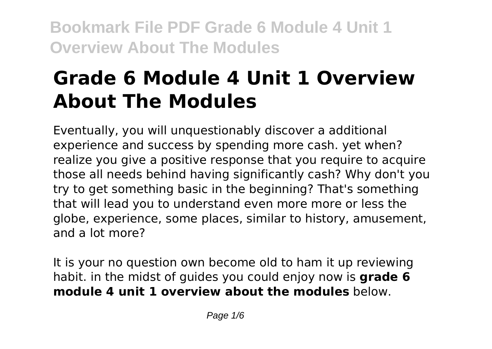# **Grade 6 Module 4 Unit 1 Overview About The Modules**

Eventually, you will unquestionably discover a additional experience and success by spending more cash. yet when? realize you give a positive response that you require to acquire those all needs behind having significantly cash? Why don't you try to get something basic in the beginning? That's something that will lead you to understand even more more or less the globe, experience, some places, similar to history, amusement, and a lot more?

It is your no question own become old to ham it up reviewing habit. in the midst of guides you could enjoy now is **grade 6 module 4 unit 1 overview about the modules** below.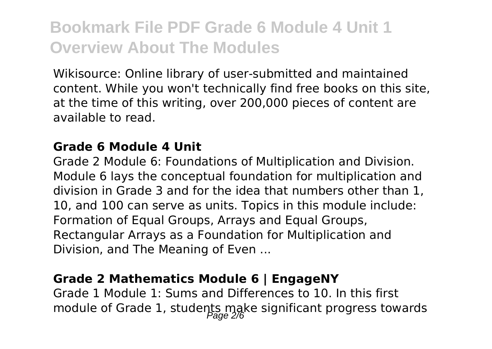Wikisource: Online library of user-submitted and maintained content. While you won't technically find free books on this site, at the time of this writing, over 200,000 pieces of content are available to read.

#### **Grade 6 Module 4 Unit**

Grade 2 Module 6: Foundations of Multiplication and Division. Module 6 lays the conceptual foundation for multiplication and division in Grade 3 and for the idea that numbers other than 1, 10, and 100 can serve as units. Topics in this module include: Formation of Equal Groups, Arrays and Equal Groups, Rectangular Arrays as a Foundation for Multiplication and Division, and The Meaning of Even ...

### **Grade 2 Mathematics Module 6 | EngageNY**

Grade 1 Module 1: Sums and Differences to 10. In this first module of Grade 1, students make significant progress towards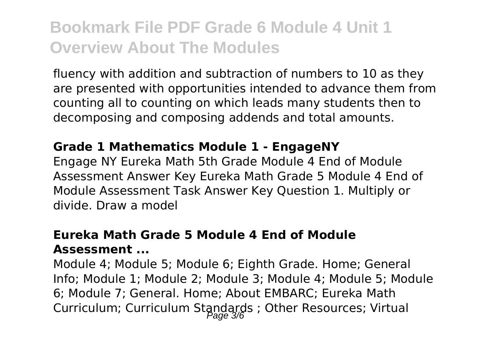fluency with addition and subtraction of numbers to 10 as they are presented with opportunities intended to advance them from counting all to counting on which leads many students then to decomposing and composing addends and total amounts.

#### **Grade 1 Mathematics Module 1 - EngageNY**

Engage NY Eureka Math 5th Grade Module 4 End of Module Assessment Answer Key Eureka Math Grade 5 Module 4 End of Module Assessment Task Answer Key Question 1. Multiply or divide. Draw a model

### **Eureka Math Grade 5 Module 4 End of Module Assessment ...**

Module 4; Module 5; Module 6; Eighth Grade. Home; General Info; Module 1; Module 2; Module 3; Module 4; Module 5; Module 6; Module 7; General. Home; About EMBARC; Eureka Math Curriculum; Curriculum Standards ; Other Resources; Virtual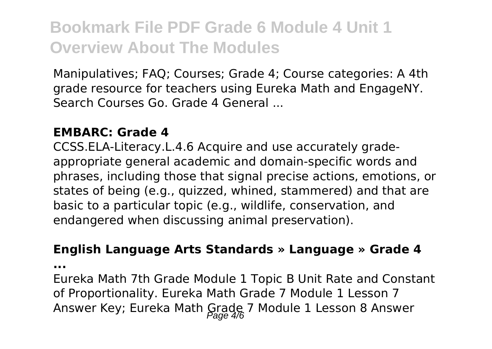Manipulatives; FAQ; Courses; Grade 4; Course categories: A 4th grade resource for teachers using Eureka Math and EngageNY. Search Courses Go. Grade 4 General ...

#### **EMBARC: Grade 4**

CCSS.ELA-Literacy.L.4.6 Acquire and use accurately gradeappropriate general academic and domain-specific words and phrases, including those that signal precise actions, emotions, or states of being (e.g., quizzed, whined, stammered) and that are basic to a particular topic (e.g., wildlife, conservation, and endangered when discussing animal preservation).

#### **English Language Arts Standards » Language » Grade 4**

**...**

Eureka Math 7th Grade Module 1 Topic B Unit Rate and Constant of Proportionality. Eureka Math Grade 7 Module 1 Lesson 7 Answer Key; Eureka Math Grade 7 Module 1 Lesson 8 Answer